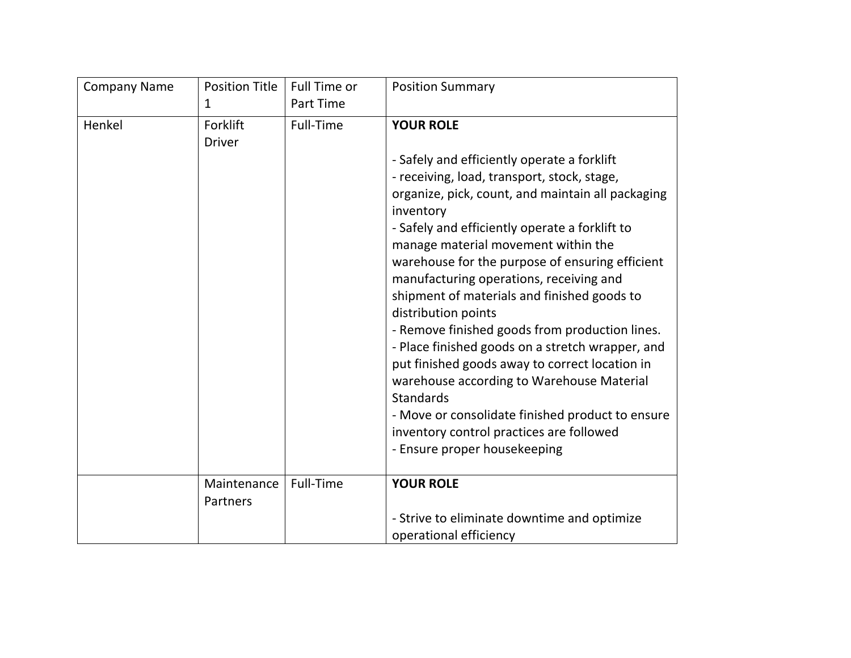| <b>Company Name</b> | <b>Position Title</b> | <b>Full Time or</b> | <b>Position Summary</b>                                        |
|---------------------|-----------------------|---------------------|----------------------------------------------------------------|
|                     | 1                     | <b>Part Time</b>    |                                                                |
| Henkel              | Forklift              | Full-Time           | <b>YOUR ROLE</b>                                               |
|                     | <b>Driver</b>         |                     |                                                                |
|                     |                       |                     | - Safely and efficiently operate a forklift                    |
|                     |                       |                     | - receiving, load, transport, stock, stage,                    |
|                     |                       |                     | organize, pick, count, and maintain all packaging<br>inventory |
|                     |                       |                     | - Safely and efficiently operate a forklift to                 |
|                     |                       |                     | manage material movement within the                            |
|                     |                       |                     | warehouse for the purpose of ensuring efficient                |
|                     |                       |                     | manufacturing operations, receiving and                        |
|                     |                       |                     | shipment of materials and finished goods to                    |
|                     |                       |                     | distribution points                                            |
|                     |                       |                     | - Remove finished goods from production lines.                 |
|                     |                       |                     | - Place finished goods on a stretch wrapper, and               |
|                     |                       |                     | put finished goods away to correct location in                 |
|                     |                       |                     | warehouse according to Warehouse Material                      |
|                     |                       |                     | <b>Standards</b>                                               |
|                     |                       |                     | - Move or consolidate finished product to ensure               |
|                     |                       |                     | inventory control practices are followed                       |
|                     |                       |                     | - Ensure proper housekeeping                                   |
|                     | Maintenance           | <b>Full-Time</b>    | <b>YOUR ROLE</b>                                               |
|                     | Partners              |                     |                                                                |
|                     |                       |                     | - Strive to eliminate downtime and optimize                    |
|                     |                       |                     | operational efficiency                                         |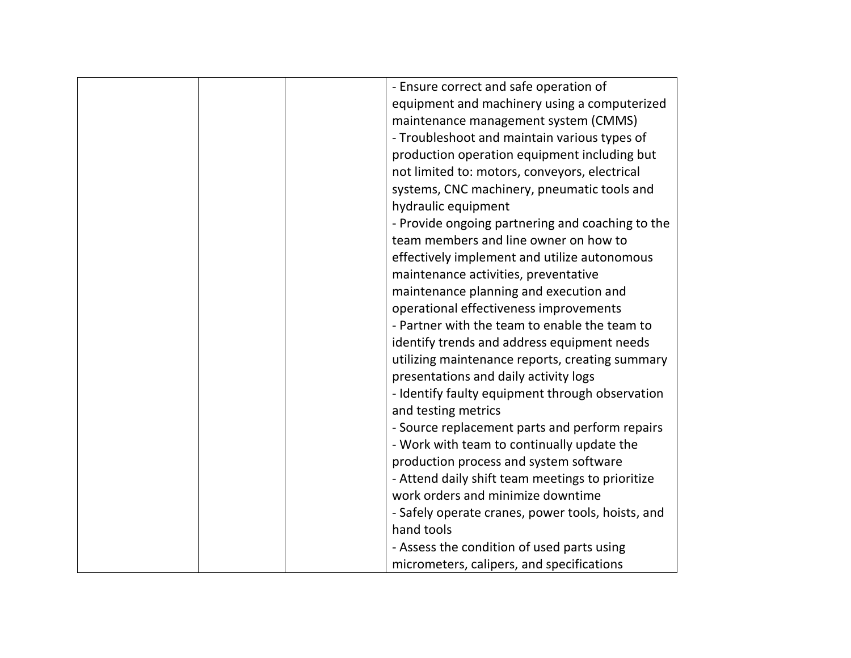| - Ensure correct and safe operation of            |
|---------------------------------------------------|
| equipment and machinery using a computerized      |
| maintenance management system (CMMS)              |
| - Troubleshoot and maintain various types of      |
| production operation equipment including but      |
| not limited to: motors, conveyors, electrical     |
| systems, CNC machinery, pneumatic tools and       |
| hydraulic equipment                               |
| - Provide ongoing partnering and coaching to the  |
| team members and line owner on how to             |
| effectively implement and utilize autonomous      |
| maintenance activities, preventative              |
| maintenance planning and execution and            |
| operational effectiveness improvements            |
| - Partner with the team to enable the team to     |
| identify trends and address equipment needs       |
| utilizing maintenance reports, creating summary   |
| presentations and daily activity logs             |
| - Identify faulty equipment through observation   |
| and testing metrics                               |
| - Source replacement parts and perform repairs    |
| - Work with team to continually update the        |
| production process and system software            |
| - Attend daily shift team meetings to prioritize  |
| work orders and minimize downtime                 |
| - Safely operate cranes, power tools, hoists, and |
| hand tools                                        |
| - Assess the condition of used parts using        |
| micrometers, calipers, and specifications         |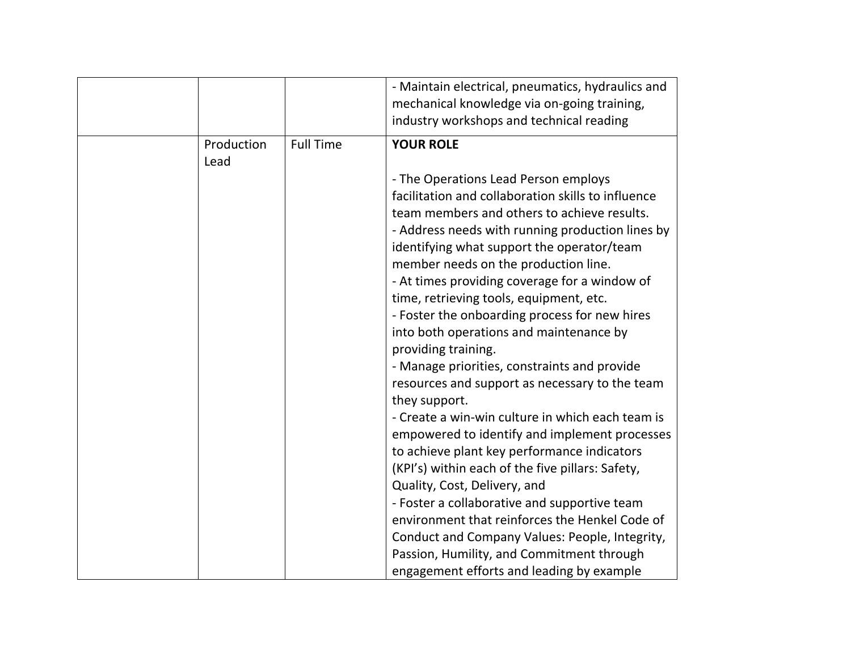|      |            |                  | - Maintain electrical, pneumatics, hydraulics and<br>mechanical knowledge via on-going training,  |
|------|------------|------------------|---------------------------------------------------------------------------------------------------|
|      |            |                  | industry workshops and technical reading                                                          |
| Lead | Production | <b>Full Time</b> | <b>YOUR ROLE</b>                                                                                  |
|      |            |                  | - The Operations Lead Person employs                                                              |
|      |            |                  | facilitation and collaboration skills to influence                                                |
|      |            |                  | team members and others to achieve results.                                                       |
|      |            |                  | - Address needs with running production lines by                                                  |
|      |            |                  | identifying what support the operator/team                                                        |
|      |            |                  | member needs on the production line.                                                              |
|      |            |                  | - At times providing coverage for a window of                                                     |
|      |            |                  | time, retrieving tools, equipment, etc.                                                           |
|      |            |                  | - Foster the onboarding process for new hires                                                     |
|      |            |                  | into both operations and maintenance by                                                           |
|      |            |                  | providing training.                                                                               |
|      |            |                  | - Manage priorities, constraints and provide                                                      |
|      |            |                  | resources and support as necessary to the team                                                    |
|      |            |                  | they support.                                                                                     |
|      |            |                  | - Create a win-win culture in which each team is<br>empowered to identify and implement processes |
|      |            |                  | to achieve plant key performance indicators                                                       |
|      |            |                  | (KPI's) within each of the five pillars: Safety,                                                  |
|      |            |                  | Quality, Cost, Delivery, and                                                                      |
|      |            |                  | - Foster a collaborative and supportive team                                                      |
|      |            |                  | environment that reinforces the Henkel Code of                                                    |
|      |            |                  | Conduct and Company Values: People, Integrity,                                                    |
|      |            |                  | Passion, Humility, and Commitment through                                                         |
|      |            |                  | engagement efforts and leading by example                                                         |